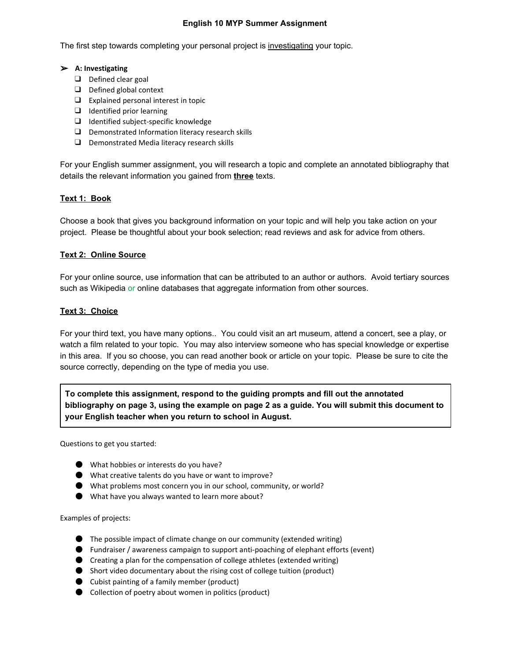### **English 10 MYP Summer Assignment**

The first step towards completing your personal project is investigating your topic.

#### ➢ **A: Investigating**

- ❑ Defined clear goal
- ❑ Defined global context
- ❑ Explained personal interest in topic
- ❑ Identified prior learning
- ❑ Identified subject-specific knowledge
- ❑ Demonstrated Information literacy research skills
- ❑ Demonstrated Media literacy research skills

For your English summer assignment, you will research a topic and complete an annotated bibliography that details the relevant information you gained from **three**texts.

## **Text 1: Book**

Choose a book that gives you background information on your topic and will help you take action on your project. Please be thoughtful about your book selection; read reviews and ask for advice from others.

### **Text 2: Online Source**

For your online source, use information that can be attributed to an author or authors. Avoid tertiary sources such as Wikipedia or online databases that aggregate information from other sources.

### **Text 3: Choice**

For your third text, you have many options.. You could visit an art museum, attend a concert, see a play, or watch a film related to your topic. You may also interview someone who has special knowledge or expertise in this area. If you so choose, you can read another book or article on your topic. Please be sure to cite the source correctly, depending on the type of media you use.

**To complete this assignment, respond to the guiding prompts and fill out the annotated** bibliography on page 3, using the example on page 2 as a guide. You will submit this document to **your English teacher when you return to school in August.**

Questions to get you started:

- What hobbies or interests do you have?
- What creative talents do you have or want to improve?
- What problems most concern you in our school, community, or world?
- What have you always wanted to learn more about?

Examples of projects:

- The possible impact of climate change on our community (extended writing)
- Fundraiser / awareness campaign to support anti-poaching of elephant efforts (event)
- Creating a plan for the compensation of college athletes (extended writing)
- Short video documentary about the rising cost of college tuition (product)
- Cubist painting of a family member (product)
- Collection of poetry about women in politics (product)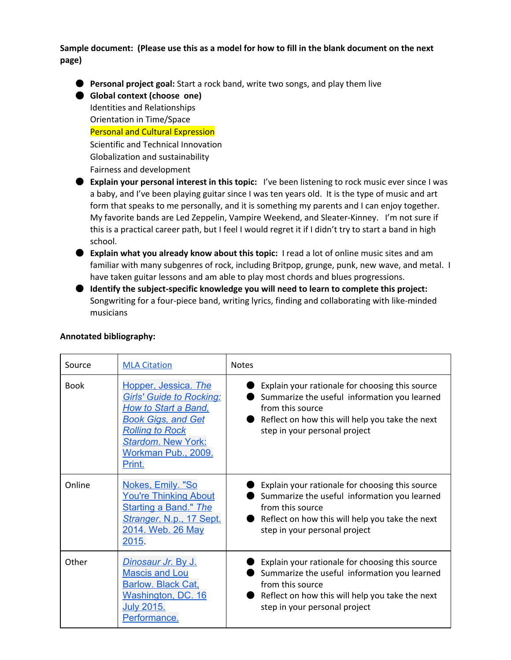Sample document: (Please use this as a model for how to fill in the blank document on the next **page)**

● **Personal project goal:**Start a rock band, write two songs, and play them live

● **Global context (choose one)** Identities and Relationships Orientation in Time/Space Personal and Cultural Expression Scientific and Technical Innovation Globalization and sustainability Fairness and development

- **Explain your personal interest in this topic:**I've been listening to rock music ever since I was a baby, and I've been playing guitar since I was ten years old. It is the type of music and art form that speaks to me personally, and it is something my parents and I can enjoy together. My favorite bands are Led Zeppelin, Vampire Weekend, and Sleater-Kinney. I'm not sure if this is a practical career path, but I feel I would regret it if I didn't try to start a band in high school.
- **Explain what you already know about this topic:**I read a lot of online music sites and am familiar with many subgenres of rock, including Britpop, grunge, punk, new wave, and metal. I have taken guitar lessons and am able to play most chords and blues progressions.
- **Identify thesubject-specific knowledge you will need to learn to complete this project:** Songwriting for a four-piece band, writing lyrics, finding and collaborating with like-minded musicians

| Source      | <b>MLA Citation</b>                                                                                                                                                                                         | <b>Notes</b>                                                                                                                                                                                            |
|-------------|-------------------------------------------------------------------------------------------------------------------------------------------------------------------------------------------------------------|---------------------------------------------------------------------------------------------------------------------------------------------------------------------------------------------------------|
| <b>Book</b> | Hopper, Jessica. The<br><b>Girls' Guide to Rocking:</b><br><b>How to Start a Band,</b><br><b>Book Gigs, and Get</b><br><b>Rolling to Rock</b><br><b>Stardom. New York:</b><br>Workman Pub., 2009.<br>Print. | Explain your rationale for choosing this source<br>Summarize the useful information you learned<br>from this source<br>Reflect on how this will help you take the next<br>step in your personal project |
| Online      | Nokes, Emily. "So<br><b>You're Thinking About</b><br><b>Starting a Band." The</b><br>Stranger. N.p., 17 Sept.<br>2014. Web. 26 May<br>2015.                                                                 | Explain your rationale for choosing this source<br>Summarize the useful information you learned<br>from this source<br>Reflect on how this will help you take the next<br>step in your personal project |
| Other       | Dinosaur Jr. By J.<br><b>Mascis and Lou</b><br><b>Barlow. Black Cat,</b><br>Washington, DC. 16<br><b>July 2015.</b><br>Performance.                                                                         | Explain your rationale for choosing this source<br>Summarize the useful information you learned<br>from this source<br>Reflect on how this will help you take the next<br>step in your personal project |

# **Annotated bibliography:**